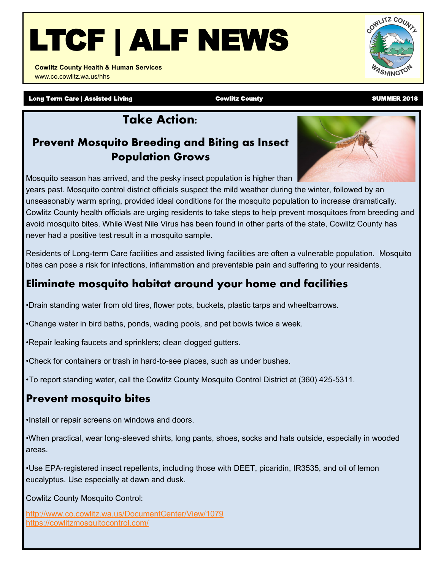# LTCF | ALF NEWS

**Cowlitz County Health & Human Services**  www.co.cowlitz.wa.us/hhs

Long Term Care | Assisted Living **Cowlitz County** Cowlitz County County County Counter 2018

## **Take Action:**

#### **Prevent Mosquito Breeding and Biting as Insect Population Grows**

Mosquito season has arrived, and the pesky insect population is higher than

years past. Mosquito control district officials suspect the mild weather during the winter, followed by an unseasonably warm spring, provided ideal conditions for the mosquito population to increase dramatically. Cowlitz County health officials are urging residents to take steps to help prevent mosquitoes from breeding and avoid mosquito bites. While West Nile Virus has been found in other parts of the state, Cowlitz County has never had a positive test result in a mosquito sample.

Residents of Long-term Care facilities and assisted living facilities are often a vulnerable population. Mosquito bites can pose a risk for infections, inflammation and preventable pain and suffering to your residents.

#### **Eliminate mosquito habitat around your home and facilities**

•Drain standing water from old tires, flower pots, buckets, plastic tarps and wheelbarrows.

•Change water in bird baths, ponds, wading pools, and pet bowls twice a week.

•Repair leaking faucets and sprinklers; clean clogged gutters.

•Check for containers or trash in hard-to-see places, such as under bushes.

•To report standing water, call the Cowlitz County Mosquito Control District at (360) 425-5311.

### **Prevent mosquito bites**

•Install or repair screens on windows and doors.

•When practical, wear long-sleeved shirts, long pants, shoes, socks and hats outside, especially in wooded areas.

•Use EPA-registered insect repellents, including those with DEET, picaridin, IR3535, and oil of lemon eucalyptus. Use especially at dawn and dusk.

Cowlitz County Mosquito Control:

<http://www.co.cowlitz.wa.us/DocumentCenter/View/1079> <https://cowlitzmosquitocontrol.com/>